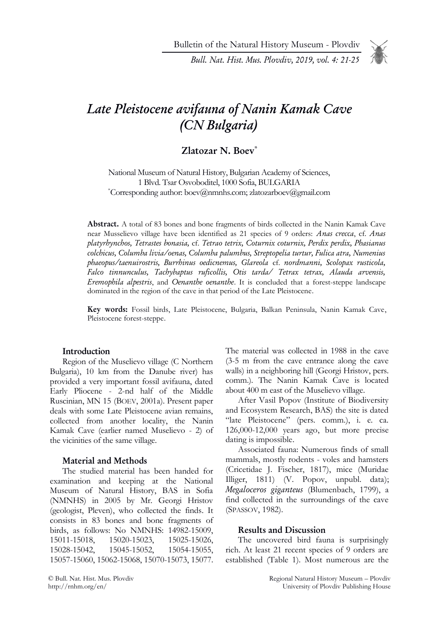Bull. Nat. Hist. Mus. Plovdiv, 2019, vol. 4: 21-25



# Late Pleistocene avifauna of Nanin Kamak Cave (CN Bulgaria)

## Zlatozar N. Boev\*

National Museum of Natural History, Bulgarian Academy of Sciences, 1 Blvd. Tsar Osvoboditel, 1000 Sofia, BULGARIA \*Corresponding author: boev@nmnhs.com; zlatozarboev@gmail.com

Abstract. A total of 83 bones and bone fragments of birds collected in the Nanin Kamak Cave near Musselievo village have been identified as 21 species of 9 orders: Anas crecca, cf. Anas platyrhynchos, Tetrastes bonasia, cf. Tetrao tetrix, Coturnix coturnix, Perdix perdix, Phasianus colchicus, Columba livia/oenas, Columba palumbus, Streptopelia turtur, Fulica atra, Numenius phaeopus/taenuirostris, Burrhinus oedicnemus, Glareola cf. nordmanni, Scolopax rusticola, Falco tinnunculus, Tachybaptus ruficollis, Otis tarda/ Tetrax tetrax, Alauda arvensis, Eremophila alpestris, and Oenanthe oenanthe. It is concluded that a forest-steppe landscape dominated in the region of the cave in that period of the Late Pleistocene.

Key words: Fossil birds, Late Pleistocene, Bulgaria, Balkan Peninsula, Nanin Kamak Cave, Pleistocene forest-steppe.

#### Introduction

Region of the Muselievo village (C Northern Bulgaria), 10 km from the Danube river) has provided a very important fossil avifauna, dated Early Pliocene - 2-nd half of the Middle Ruscinian, MN 15 (BOEV, 2001a). Present paper deals with some Late Pleistocene avian remains, collected from another locality, the Nanin Kamak Cave (earlier named Muselievo - 2) of the vicinities of the same village.

#### Material and Methods

The studied material has been handed for examination and keeping at the National Museum of Natural History, BAS in Sofia (NMNHS) in 2005 by Mr. Georgi Hristov (geologist, Pleven), who collected the finds. It consists in 83 bones and bone fragments of birds, as follows: No NMNHS: 14982-15009, 15011-15018, 15020-15023, 15025-15026, 15028-15042, 15045-15052, 15054-15055, 15057-15060, 15062-15068, 15070-15073, 15077.

The material was collected in 1988 in the cave (3-5 m from the cave entrance along the cave walls) in a neighboring hill (Georgi Hristov, pers. comm.). The Nanin Kamak Cave is located about 400 m east of the Muselievo village.

After Vasil Popov (Institute of Biodiversity and Ecosystem Research, BAS) the site is dated "late Pleistocene" (pers. comm.), i. e. ca. 126,000-12,000 years ago, but more precise dating is impossible.

Associated fauna: Numerous finds of small mammals, mostly rodents - voles and hamsters (Cricetidae J. Fischer, 1817), mice (Muridae Illiger, 1811) (V. Popov, unpubl. data); Megaloceros giganteus (Blumenbach, 1799), a find collected in the surroundings of the cave (SPASSOV, 1982).

#### Results and Discussion

The uncovered bird fauna is surprisingly rich. At least 21 recent species of 9 orders are established (Table 1). Most numerous are the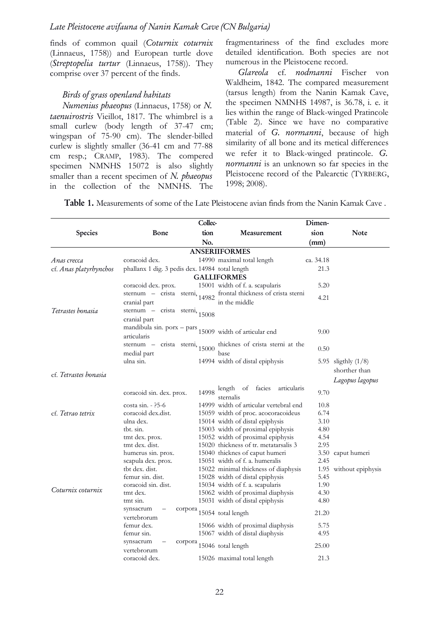finds of common quail (Coturnix coturnix (Linnaeus, 1758)) and European turtle dove (Streptopelia turtur (Linnaeus, 1758)). They comprise over 37 percent of the finds.

## Birds of grass openland habitats

Numenius phaeopus (Linnaeus, 1758) or N. taenuirostris Vieillot, 1817. The whimbrel is a small curlew (body length of 37-47 cm; wingspan of 75-90 cm). The slender-billed curlew is slightly smaller (36-41 cm and 77-88 cm resp.; CRAMP, 1983). The compered specimen NMNHS 15072 is also slightly smaller than a recent specimen of  $N$ . phaeopus in the collection of the NMNHS. The

fragmentariness of the find excludes more detailed identification. Both species are not numerous in the Pleistocene record.

Glareola cf. nodmanni Fischer von Waldheim, 1842. The compared measurement (tarsus length) from the Nanin Kamak Cave, the specimen NMNHS 14987, is 36.78, i. e. it lies within the range of Black-winged Pratincole (Table 2). Since we have no comparative material of G. normanni, because of high similarity of all bone and its metical differences we refer it to Black-winged pratincole. G. normanni is an unknown so far species in the Pleistocene record of the Palearctic (TYRBERG, 1998; 2008).

Table 1. Measurements of some of the Late Pleistocene avian finds from the Nanin Kamak Cave .

|                              | Collec-                                         |         |                                                           | Dimen-    |                        |  |  |
|------------------------------|-------------------------------------------------|---------|-----------------------------------------------------------|-----------|------------------------|--|--|
| <b>Species</b>               | Bone                                            | tion    | Measurement                                               | sion      | Note                   |  |  |
|                              |                                                 | No.     |                                                           | (mm)      |                        |  |  |
| <b>ANSERIIFORMES</b>         |                                                 |         |                                                           |           |                        |  |  |
| Anas crecca                  | coracoid dex.                                   |         | 14990 maximal total length                                | ca. 34.18 |                        |  |  |
| cf. Anas platyrhynchos       | phallanx 1 dig. 3 pedis dex. 14984 total length |         |                                                           | 21.3      |                        |  |  |
|                              |                                                 |         | <b>GALLIFORMES</b>                                        |           |                        |  |  |
|                              | coracoid dex. prox.                             |         | 15001 width of f. a. scapularis                           | 5.20      |                        |  |  |
|                              | sternum – crista sterni, $14982$                |         | frontal thickness of crista sterni                        |           |                        |  |  |
|                              | cranial part                                    |         | in the middle                                             | 4.21      |                        |  |  |
| Tetrastes honasia            | sternum – crista sterni, $15008$                |         |                                                           |           |                        |  |  |
|                              | cranial part                                    |         |                                                           |           |                        |  |  |
|                              |                                                 |         | mandibula sin. $porx - pars$ 15009 width of articular end |           |                        |  |  |
|                              | articularis                                     |         |                                                           | 9.00      |                        |  |  |
|                              | sternum – crista sterni, $15000$                |         | thicknes of crista sterni at the                          |           |                        |  |  |
|                              | medial part                                     |         | <b>base</b>                                               | 0.50      |                        |  |  |
|                              | ulna sin.                                       |         | 14994 width of distal epiphysis                           |           | 5.95 sligthly (1/8)    |  |  |
|                              |                                                 |         |                                                           |           | shorther than          |  |  |
| cf. <i>Tetrastes bonasia</i> |                                                 |         |                                                           |           | Lagopus lagopus        |  |  |
|                              |                                                 |         | length of facies<br>articularis                           |           |                        |  |  |
|                              | coracoid sin. dex. prox.                        | 14998   | sternalis                                                 | 9.70      |                        |  |  |
|                              | $costa sin. - ?5-6$                             |         | 14999 width of articular vertebral end                    | 10.8      |                        |  |  |
| cf. Tetrao tetrix            | coracoid dex.dist.                              |         | 15059 width of proc. acocoracoideus                       | 6.74      |                        |  |  |
|                              | ulna dex.                                       |         | 15014 width of distal epiphysis                           | 3.10      |                        |  |  |
|                              | tbt. sin.                                       |         | 15003 width of proximal epiphysis                         | 4.80      |                        |  |  |
|                              | tmt dex. prox.                                  |         | 15052 width of proximal epiphysis                         | 4.54      |                        |  |  |
|                              | tmt dex. dist.                                  |         | 15020 thickness of tr. metatarsalis 3                     | 2.95      |                        |  |  |
|                              | humerus sin. prox.                              |         | 15040 thicknes of caput humeri                            |           | 3.50 caput humeri      |  |  |
|                              | scapula dex. prox.                              |         | 15051 width of f. a. humeralis                            | 2.45      |                        |  |  |
|                              | tbt dex. dist.                                  |         | 15022 minimal thickness of diaphysis                      |           | 1.95 without epiphysis |  |  |
|                              | femur sin. dist.                                |         | 15028 width of distal epiphysis                           | 5.45      |                        |  |  |
| Coturnix coturnix            | coracoid sin. dist.                             |         | 15034 width of f. a. scapularis                           | 1.90      |                        |  |  |
|                              | tmt dex.                                        |         | 15062 width of proximal diaphysis                         | 4.30      |                        |  |  |
|                              | tmt sin.                                        |         | 15031 width of distal epiphysis                           | 4.80      |                        |  |  |
|                              | synsacrum                                       | corpora | 15054 total length                                        | 21.20     |                        |  |  |
|                              | vertebrorum                                     |         |                                                           |           |                        |  |  |
|                              | femur dex.                                      |         | 15066 width of proximal diaphysis                         | 5.75      |                        |  |  |
|                              | femur sin.<br>synsacrum                         |         | 15067 width of distal diaphysis                           | 4.95      |                        |  |  |
|                              | vertebrorum                                     | corpora | 15046 total length                                        | 25.00     |                        |  |  |
|                              | coracoid dex.                                   |         | 15026 maximal total length                                | 21.3      |                        |  |  |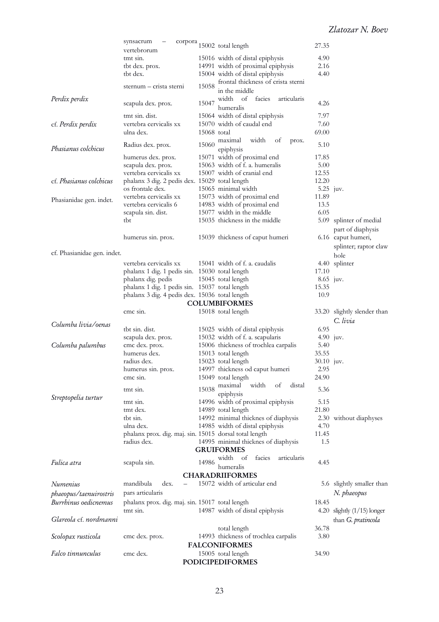|                             | synsacrum                                                   |             | $\operatorname{corpora}$ 15002 total length              | 27.35       |                                         |
|-----------------------------|-------------------------------------------------------------|-------------|----------------------------------------------------------|-------------|-----------------------------------------|
|                             | vertebrorum                                                 |             |                                                          |             |                                         |
|                             | tmt sin.                                                    |             | 15016 width of distal epiphysis                          | 4.90        |                                         |
|                             | tbt dex. prox.                                              |             | 14991 width of proximal epiphysis                        | 2.16        |                                         |
|                             | tbt dex.                                                    |             | 15004 width of distal epiphysis                          | 4.40        |                                         |
|                             | sternum - crista sterni                                     | 15058       | frontal thickness of crista sterni<br>in the middle      |             |                                         |
| Perdix perdix               | scapula dex. prox.                                          | 15047       | width<br>facies<br>of<br>articularis<br>humeralis        | 4.26        |                                         |
|                             | tmt sin. dist.                                              |             | 15064 width of distal epiphysis                          | 7.97        |                                         |
| cf. Perdix perdix           | vertebra cervicalis xx                                      |             | 15070 width of caudal end                                | 7.60        |                                         |
|                             | ulna dex.                                                   | 15068 total |                                                          | 69.00       |                                         |
| Phasianus colchicus         | Radius dex. prox.                                           |             | 15060 maximal<br>width<br>οf<br>prox.<br>epiphysis       | 5.10        |                                         |
|                             | humerus dex. prox.                                          |             | 15071 width of proximal end                              | 17.85       |                                         |
|                             | scapula dex. prox.                                          |             | 15063 width of f. a. humeralis                           | 5.00        |                                         |
|                             | vertebra cervicalis xx                                      |             | 15007 width of cranial end                               | 12.55       |                                         |
| cf. Phasianus colchicus     | phalanx 3 dig. 2 pedis dex. 15029 total length              |             |                                                          | 12.20       |                                         |
|                             | os frontale dex.                                            |             | 15065 minimal width                                      | $5.25$ juv. |                                         |
| Phasianidae gen. indet.     | vertebra cervicalis xx                                      |             | 15073 width of proximal end                              | 11.89       |                                         |
|                             | vertebra cervicalis 6                                       |             | 14983 width of proximal end                              | 13.5        |                                         |
|                             | scapula sin. dist.                                          |             | 15077 width in the middle                                | 6.05        |                                         |
|                             | tbt                                                         |             | 15035 thickness in the middle                            | 5.09        | splinter of medial<br>part of diaphysis |
|                             | humerus sin. prox.                                          |             | 15039 thickness of caput humeri                          |             | 6.16 caput humeri,                      |
| cf. Phasianidae gen. indet. |                                                             |             |                                                          |             | splinter; raptor claw<br>hole           |
|                             | vertebra cervicalis xx                                      |             | 15041 width of f. a. caudalis                            |             | 4.40 splinter                           |
|                             | phalanx 1 dig. 1 pedis sin. 15030 total length              |             |                                                          | 17.10       |                                         |
|                             | phalanx dig. pedis                                          |             | 15045 total length                                       | $8.65$ juv. |                                         |
|                             | phalanx 1 dig. 1 pedis sin. 15037 total length              |             |                                                          | 15.35       |                                         |
|                             | phalanx 3 dig. 4 pedis dex. 15036 total length              |             |                                                          | 10.9        |                                         |
|                             |                                                             |             | <b>COLUMBIFORMES</b>                                     |             |                                         |
| Columba livia/oenas         | cmc sin.                                                    |             | 15018 total length                                       |             | 33.20 slightly slender than<br>C. livia |
|                             | tbt sin. dist.                                              |             | 15025 width of distal epiphysis                          | 6.95        |                                         |
|                             | scapula dex. prox.                                          |             | 15032 width of f. a. scapularis                          | $4.90$ juv. |                                         |
| Columba palumbus            | cmc dex. prox.                                              |             | 15006 thickness of trochlea carpalis                     | 5.40        |                                         |
|                             | humerus dex.                                                |             | 15013 total length                                       | 35.55       |                                         |
|                             | radius dex.                                                 |             | 15023 total length                                       | 30.10 juv.  |                                         |
|                             | humerus sin. prox.                                          |             | 14997 thickness od caput humeri                          | 2.95        |                                         |
|                             | cmc sin.                                                    |             | 15049 total length                                       | 24.90       |                                         |
| Streptopelia turtur         | tmt sin.                                                    |             | width<br>$15038$ maximal<br>οf<br>distal<br>epiphysis    | 5.36        |                                         |
|                             | tmt sin.                                                    |             | 14996 width of proximal epiphysis                        | 5.15        |                                         |
|                             | tmt dex.                                                    |             | 14989 total length                                       | 21.80       |                                         |
|                             |                                                             |             |                                                          |             | 2.30 without diaphyses                  |
|                             | tbt sin.                                                    |             | 14992 minimal thicknes of diaphysis                      |             |                                         |
|                             | ulna dex.                                                   |             | 14985 width of distal epiphysis                          | 4.70        |                                         |
|                             | phalanx prox. dig. maj. sin. 15015 dorsal total length      |             |                                                          | 11.45       |                                         |
|                             | radius dex.                                                 |             | 14995 minimal thicknes of diaphysis<br><b>GRUIFORMES</b> | 1.5         |                                         |
|                             |                                                             |             | width of<br>facies<br>articularis                        |             |                                         |
| Fulica atra                 | scapula sin.                                                | 14986       | humeralis                                                | 4.45        |                                         |
|                             |                                                             |             | <b>CHARADRIIFORMES</b>                                   |             |                                         |
| Numenius                    | mandibula<br>dex.                                           |             | 15072 width of articular end                             |             | 5.6 slightly smaller than               |
| phaeopus/taenuirostris      | pars articularis                                            |             |                                                          |             | N. phaeopus                             |
| Burrhinus oedicnemus        |                                                             |             |                                                          | 18.45       |                                         |
|                             | phalanx prox. dig. maj. sin. 15017 total length<br>tmt sin. |             |                                                          |             |                                         |
|                             |                                                             |             | 14987 width of distal epiphysis                          |             | 4.20 slightly $(1/15)$ longer           |
| Glareola cf. nordmanni      |                                                             |             |                                                          |             | than G. pratincola                      |
|                             |                                                             |             | total length                                             | 36.78       |                                         |
| Scolopax rusticola          | cmc dex. prox.                                              |             | 14993 thickness of trochlea carpalis                     | 3.80        |                                         |
|                             |                                                             |             | <b>FALCONIFORMES</b>                                     |             |                                         |
| Falco tinnunculus           | cmc dex.                                                    |             | 15005 total length<br><b>PODICIPEDIFORMES</b>            | 34.90       |                                         |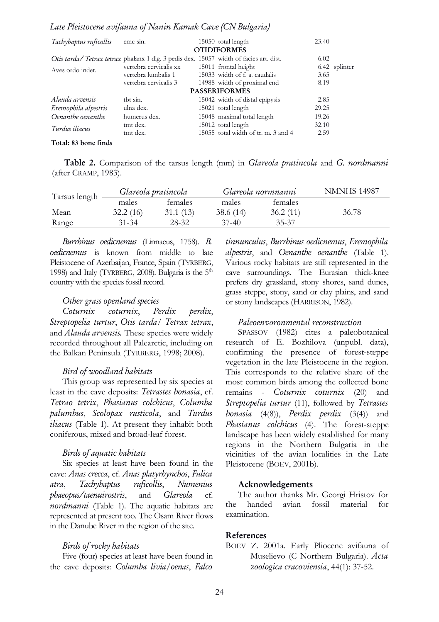### Late Pleistocene avifauna of Nanin Kamak Cave (CN Bulgaria)

| Tachybaptus ruficollis | cmc sin.                                                                              | 15050 total length                  | 23.40 |               |
|------------------------|---------------------------------------------------------------------------------------|-------------------------------------|-------|---------------|
|                        |                                                                                       | <b>OTIDIFORMES</b>                  |       |               |
|                        | Otis tarda/Tetrax tetrax phalanx 1 dig. 3 pedis dex. 15057 width of facies art. dist. |                                     | 6.02  |               |
| Aves ordo indet.       | vertebra cervicalis xx                                                                | 15011 frontal height                |       | 6.42 splinter |
|                        | vertebra lumbalis 1                                                                   | 15033 width of f. a. caudalis       | 3.65  |               |
|                        | vertebra cervicalis 3                                                                 | 14988 width of proximal end         | 8.19  |               |
|                        |                                                                                       | <b>PASSERIFORMES</b>                |       |               |
| Alauda arvensis        | tht sin.                                                                              | 15042 width of distal epipysis      | 2.85  |               |
| Eremophila alpestris   | ulna dex.                                                                             | 15021 total length                  | 29.25 |               |
| Oenanthe oenanthe      | humerus dex.                                                                          | 15048 maximal total length          | 19.26 |               |
| Turdus iliacus         | tmt dex.                                                                              | 15012 total length                  | 32.10 |               |
|                        | tmt dex.                                                                              | 15055 total width of tr. m. 3 and 4 | 2.59  |               |
| Total: 83 bone finds   |                                                                                       |                                     |       |               |

Table 2. Comparison of the tarsus length (mm) in Glareola pratincola and G. nordmanni (after CRAMP, 1983).

| Tarsus length |          | Glareola pratincola |          | Glareola normnanni | <b>NMNHS 14987</b> |
|---------------|----------|---------------------|----------|--------------------|--------------------|
|               | males    | females             | males    | females            |                    |
| Mean          | 32.2(16) | 31.1(13)            | 38.6(14) | 36.2(11)           | 36.78              |
| Range         | 31-34    | 28-32               | $37-40$  | 35-37              |                    |

Burrhinus oedicnemus (Linnaeus, 1758). B. oedicnemus is known from middle to late Pleistocene of Azerbaijan, France, Spain (TYRBERG, 1998) and Italy (TYRBERG, 2008). Bulgaria is the  $5<sup>th</sup>$ country with the species fossil record.

#### Other grass openland species

Coturnix coturnix, Perdix perdix, Streptopelia turtur, Otis tarda/ Tetrax tetrax, and Alauda arvensis. These species were widely recorded throughout all Palearctic, including on the Balkan Peninsula (TYRBERG, 1998; 2008).

#### Bird of woodland habitats

This group was represented by six species at least in the cave deposits: Tetrastes bonasia, cf. Tetrao tetrix, Phasianus colchicus, Columba palumbus, Scolopax rusticola, and Turdus iliacus (Table 1). At present they inhabit both coniferous, mixed and broad-leaf forest.

#### Birds of aquatic habitats

Six species at least have been found in the cave: Anas crecca, cf. Anas platyrhynchos, Fulica atra, Tachybaptus ruficollis, Numenius phaeopus/taenuirostris, and Glareola cf. nordmanni (Table 1). The aquatic habitats are represented at present too. The Osam River flows in the Danube River in the region of the site.

#### Birds of rocky habitats

Five (four) species at least have been found in the cave deposits: Columba livia/oenas, Falco tinnunculus, Burrhinus oedicnemus, Eremophila alpestris, and Oenanthe oenanthe (Table 1). Various rocky habitats are still represented in the cave surroundings. The Eurasian thick-knee prefers dry grassland, stony shores, sand dunes, grass steppe, stony, sand or clay plains, and sand or stony landscapes (HARRISON, 1982).

#### Paleoenvoronmental reconstruction

SPASSOV (1982) cites a paleobotanical research of E. Bozhilova (unpubl. data), confirming the presence of forest-steppe vegetation in the late Pleistocene in the region. This corresponds to the relative share of the most common birds among the collected bone remains - Coturnix coturnix (20) and Streptopelia turtur (11), followed by Tetrastes bonasia (4(8)), Perdix perdix (3(4)) and Phasianus colchicus (4). The forest-steppe landscape has been widely established for many regions in the Northern Bulgaria in the vicinities of the avian localities in the Late Pleistocene (BOEV, 2001b).

#### Acknowledgements

The author thanks Mr. Georgi Hristov for the handed avian fossil material for examination.

## References

BOEV Z. 2001a. Early Pliocene avifauna of Muselievo (C Northern Bulgaria). Acta zoologica cracoviensia, 44(1): 37-52.